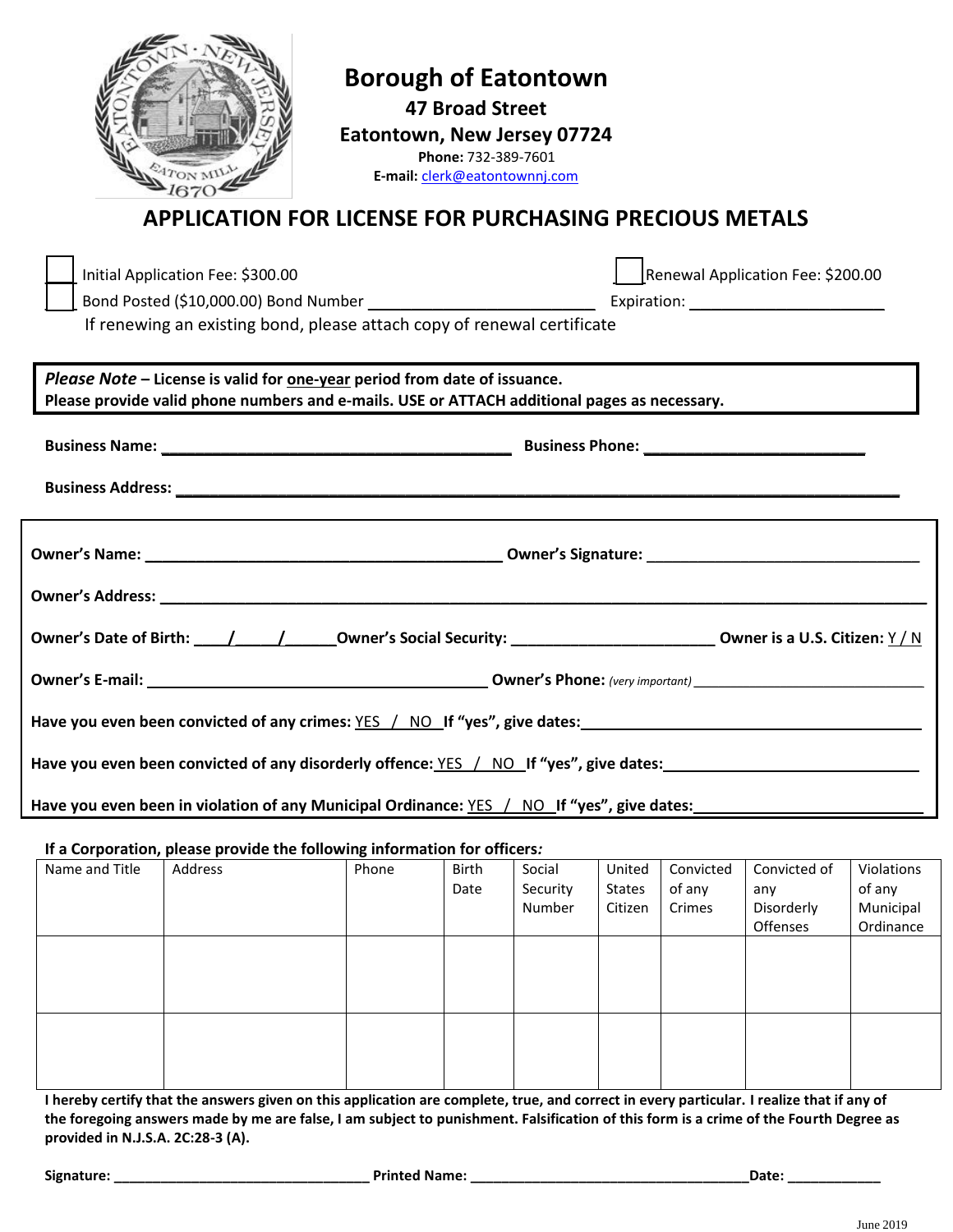|                                                                                                                                                                           | <b>APPLICATION FOR LICENSE FOR PURCHASING PRECIOUS METALS</b>                                                | <b>Borough of Eatontown</b><br>Eatontown, New Jersey 07724<br>E-mail: clerk@eatontownnj.com | <b>47 Broad Street</b><br>Phone: 732-389-7601 |        |        |           |                                   |            |
|---------------------------------------------------------------------------------------------------------------------------------------------------------------------------|--------------------------------------------------------------------------------------------------------------|---------------------------------------------------------------------------------------------|-----------------------------------------------|--------|--------|-----------|-----------------------------------|------------|
|                                                                                                                                                                           | Initial Application Fee: \$300.00<br>If renewing an existing bond, please attach copy of renewal certificate |                                                                                             |                                               |        |        |           | Renewal Application Fee: \$200.00 |            |
| Please Note - License is valid for one-year period from date of issuance.<br>Please provide valid phone numbers and e-mails. USE or ATTACH additional pages as necessary. |                                                                                                              |                                                                                             |                                               |        |        |           |                                   |            |
|                                                                                                                                                                           |                                                                                                              |                                                                                             |                                               |        |        |           |                                   |            |
|                                                                                                                                                                           |                                                                                                              |                                                                                             |                                               |        |        |           |                                   |            |
| Have you even been convicted of any crimes: YES / NO If "yes", give dates:<br>Have you even been convicted of any disorderly offence: $YES$ / NO If "yes", give dates:    |                                                                                                              |                                                                                             |                                               |        |        |           |                                   |            |
| Have you even been in violation of any Municipal Ordinance: YES / NO If "yes", give dates:                                                                                |                                                                                                              |                                                                                             |                                               |        |        |           |                                   |            |
| If a Corporation, please provide the following information for officers:<br>Name and Title                                                                                | Address                                                                                                      | Phone                                                                                       | <b>Birth</b>                                  | Social | United | Convicted | Convicted of                      | Violations |

| Name and Title | Address | Phone | Birth<br>Date | Social<br>Security<br>Number | United<br><b>States</b><br>Citizen | Convicted<br>of any<br>Crimes | Convicted of<br>any<br>Disorderly<br>Offenses | Violations<br>of any<br>Municipal<br>Ordinance |
|----------------|---------|-------|---------------|------------------------------|------------------------------------|-------------------------------|-----------------------------------------------|------------------------------------------------|
|                |         |       |               |                              |                                    |                               |                                               |                                                |
|                |         |       |               |                              |                                    |                               |                                               |                                                |

**I hereby certify that the answers given on this application are complete, true, and correct in every particular. I realize that if any of the foregoing answers made by me are false, I am subject to punishment. Falsification of this form is a crime of the Fourth Degree as provided in N.J.S.A. 2C:28-3 (A).**